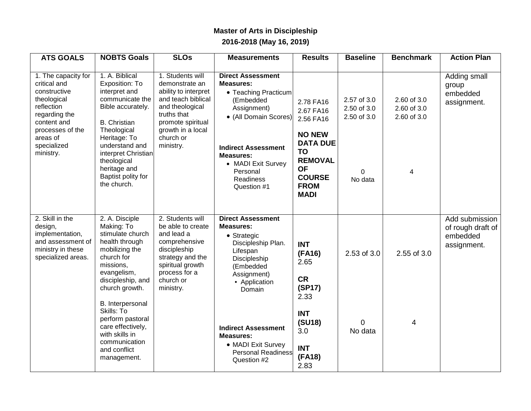## **Master of Arts in Discipleship 2016-2018 (May 16, 2019)**

| <b>ATS GOALS</b>                                                                                                                                                             | <b>NOBTS Goals</b>                                                                                                                                                                                                                                                                                                 | <b>SLOs</b>                                                                                                                                                                            | <b>Measurements</b>                                                                                                                                                                                                                                                                      | <b>Results</b>                                                                                                                                                     | <b>Baseline</b>                                                  | <b>Benchmark</b>                               | <b>Action Plan</b>                                             |
|------------------------------------------------------------------------------------------------------------------------------------------------------------------------------|--------------------------------------------------------------------------------------------------------------------------------------------------------------------------------------------------------------------------------------------------------------------------------------------------------------------|----------------------------------------------------------------------------------------------------------------------------------------------------------------------------------------|------------------------------------------------------------------------------------------------------------------------------------------------------------------------------------------------------------------------------------------------------------------------------------------|--------------------------------------------------------------------------------------------------------------------------------------------------------------------|------------------------------------------------------------------|------------------------------------------------|----------------------------------------------------------------|
| 1. The capacity for<br>critical and<br>constructive<br>theological<br>reflection<br>regarding the<br>content and<br>processes of the<br>areas of<br>specialized<br>ministry. | 1. A. Biblical<br>Exposition: To<br>interpret and<br>communicate the<br>Bible accurately.<br><b>B.</b> Christian<br>Theological<br>Heritage: To<br>understand and<br>interpret Christian<br>theological<br>heritage and<br>Baptist polity for<br>the church.                                                       | 1. Students will<br>demonstrate an<br>ability to interpret<br>and teach biblical<br>and theological<br>truths that<br>promote spiritual<br>growth in a local<br>church or<br>ministry. | <b>Direct Assessment</b><br><b>Measures:</b><br>• Teaching Practicum<br>(Embedded<br>Assignment)<br>• (All Domain Scores)<br><b>Indirect Assessment</b><br><b>Measures:</b><br>• MADI Exit Survey<br>Personal<br><b>Readiness</b><br>Question #1                                         | 2.78 FA16<br>2.67 FA16<br>2.56 FA16<br><b>NO NEW</b><br><b>DATA DUE</b><br><b>TO</b><br><b>REMOVAL</b><br><b>OF</b><br><b>COURSE</b><br><b>FROM</b><br><b>MADI</b> | 2.57 of 3.0<br>2.50 of 3.0<br>2.50 of 3.0<br>$\Omega$<br>No data | 2.60 of 3.0<br>2.60 of 3.0<br>2.60 of 3.0<br>4 | Adding small<br>group<br>embedded<br>assignment.               |
| 2. Skill in the<br>design,<br>implementation,<br>and assessment of<br>ministry in these<br>specialized areas.                                                                | 2. A. Disciple<br>Making: To<br>stimulate church<br>health through<br>mobilizing the<br>church for<br>missions,<br>evangelism,<br>discipleship, and<br>church growth.<br>B. Interpersonal<br>Skills: To<br>perform pastoral<br>care effectively,<br>with skills in<br>communication<br>and conflict<br>management. | 2. Students will<br>be able to create<br>and lead a<br>comprehensive<br>discipleship<br>strategy and the<br>spiritual growth<br>process for a<br>church or<br>ministry.                | <b>Direct Assessment</b><br><b>Measures:</b><br>• Strategic<br>Discipleship Plan.<br>Lifespan<br>Discipleship<br>(Embedded<br>Assignment)<br>• Application<br>Domain<br><b>Indirect Assessment</b><br><b>Measures:</b><br>• MADI Exit Survey<br><b>Personal Readiness</b><br>Question #2 | <b>INT</b><br>(FA16)<br>2.65<br><b>CR</b><br>(SP17)<br>2.33<br><b>INT</b><br>(SU18)<br>3.0<br><b>INT</b><br>(FA18)<br>2.83                                         | 2.53 of 3.0<br>$\Omega$<br>No data                               | 2.55 of 3.0<br>4                               | Add submission<br>of rough draft of<br>embedded<br>assignment. |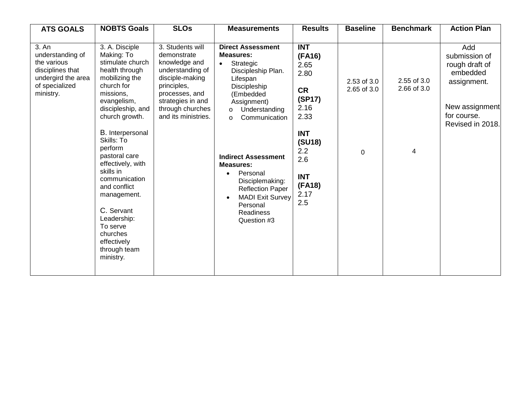| <b>ATS GOALS</b>                                                                                                  | <b>NOBTS Goals</b>                                                                                                                                                                                                                                                                                                                                                                                                     | <b>SLOs</b>                                                                                                                                                                              | <b>Measurements</b>                                                                                                                                                                                                                                                                                                                                                                                             | <b>Results</b>                                                                                                                                           | <b>Baseline</b>                 | <b>Benchmark</b>                | <b>Action Plan</b>                                                                                                     |
|-------------------------------------------------------------------------------------------------------------------|------------------------------------------------------------------------------------------------------------------------------------------------------------------------------------------------------------------------------------------------------------------------------------------------------------------------------------------------------------------------------------------------------------------------|------------------------------------------------------------------------------------------------------------------------------------------------------------------------------------------|-----------------------------------------------------------------------------------------------------------------------------------------------------------------------------------------------------------------------------------------------------------------------------------------------------------------------------------------------------------------------------------------------------------------|----------------------------------------------------------------------------------------------------------------------------------------------------------|---------------------------------|---------------------------------|------------------------------------------------------------------------------------------------------------------------|
| 3. An<br>understanding of<br>the various<br>disciplines that<br>undergird the area<br>of specialized<br>ministry. | 3. A. Disciple<br>Making: To<br>stimulate church<br>health through<br>mobilizing the<br>church for<br>missions,<br>evangelism,<br>discipleship, and<br>church growth.<br>B. Interpersonal<br>Skills: To<br>perform<br>pastoral care<br>effectively, with<br>skills in<br>communication<br>and conflict<br>management.<br>C. Servant<br>Leadership:<br>To serve<br>churches<br>effectively<br>through team<br>ministry. | 3. Students will<br>demonstrate<br>knowledge and<br>understanding of<br>disciple-making<br>principles,<br>processes, and<br>strategies in and<br>through churches<br>and its ministries. | <b>Direct Assessment</b><br><b>Measures:</b><br>Strategic<br>$\bullet$<br>Discipleship Plan.<br>Lifespan<br>Discipleship<br>(Embedded<br>Assignment)<br>Understanding<br>$\circ$<br>Communication<br>$\circ$<br><b>Indirect Assessment</b><br><b>Measures:</b><br>Personal<br>$\bullet$<br>Disciplemaking:<br><b>Reflection Paper</b><br><b>MADI Exit Survey</b><br>Personal<br><b>Readiness</b><br>Question #3 | <b>INT</b><br>(FA16)<br>2.65<br>2.80<br><b>CR</b><br>(SP17)<br>2.16<br>2.33<br><b>INT</b><br>(SU18)<br>2.2<br>2.6<br><b>INT</b><br>(FA18)<br>2.17<br>2.5 | 2.53 of 3.0<br>2.65 of 3.0<br>0 | 2.55 of 3.0<br>2.66 of 3.0<br>4 | Add<br>submission of<br>rough draft of<br>embedded<br>assignment.<br>New assignment<br>for course.<br>Revised in 2018. |